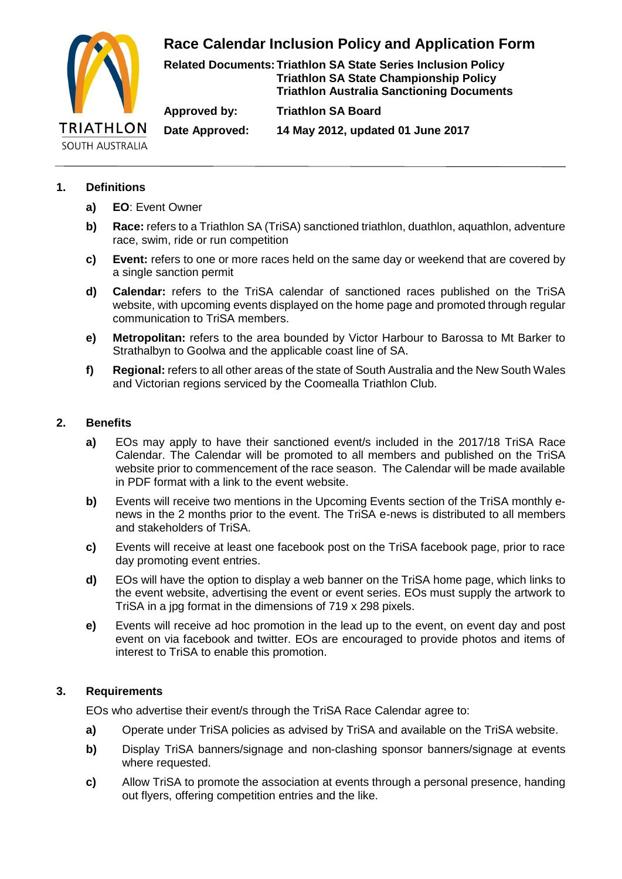## **Race Calendar Inclusion Policy and Application Form**



**Related Documents:Triathlon SA State Series Inclusion Policy Triathlon SA State Championship Policy Triathlon Australia Sanctioning Documents**

**Approved by: Triathlon SA Board**

**Date Approved: 14 May 2012, updated 01 June 2017**

**1. Definitions**

- **a) EO**: Event Owner
- **b) Race:** refers to a Triathlon SA (TriSA) sanctioned triathlon, duathlon, aquathlon, adventure race, swim, ride or run competition
- **c) Event:** refers to one or more races held on the same day or weekend that are covered by a single sanction permit
- **d) Calendar:** refers to the TriSA calendar of sanctioned races published on the TriSA website, with upcoming events displayed on the home page and promoted through regular communication to TriSA members.
- **e) Metropolitan:** refers to the area bounded by Victor Harbour to Barossa to Mt Barker to Strathalbyn to Goolwa and the applicable coast line of SA.
- **f) Regional:** refers to all other areas of the state of South Australia and the New South Wales and Victorian regions serviced by the Coomealla Triathlon Club.

## **2. Benefits**

- **a)** EOs may apply to have their sanctioned event/s included in the 2017/18 TriSA Race Calendar. The Calendar will be promoted to all members and published on the TriSA website prior to commencement of the race season. The Calendar will be made available in PDF format with a link to the event website.
- **b)** Events will receive two mentions in the Upcoming Events section of the TriSA monthly enews in the 2 months prior to the event. The TriSA e-news is distributed to all members and stakeholders of TriSA.
- **c)** Events will receive at least one facebook post on the TriSA facebook page, prior to race day promoting event entries.
- **d)** EOs will have the option to display a web banner on the TriSA home page, which links to the event website, advertising the event or event series. EOs must supply the artwork to TriSA in a jpg format in the dimensions of 719 x 298 pixels.
- **e)** Events will receive ad hoc promotion in the lead up to the event, on event day and post event on via facebook and twitter. EOs are encouraged to provide photos and items of interest to TriSA to enable this promotion.

## **3. Requirements**

EOs who advertise their event/s through the TriSA Race Calendar agree to:

- **a)** Operate under TriSA policies as advised by TriSA and available on the TriSA website.
- **b)** Display TriSA banners/signage and non-clashing sponsor banners/signage at events where requested.
- **c)** Allow TriSA to promote the association at events through a personal presence, handing out flyers, offering competition entries and the like.